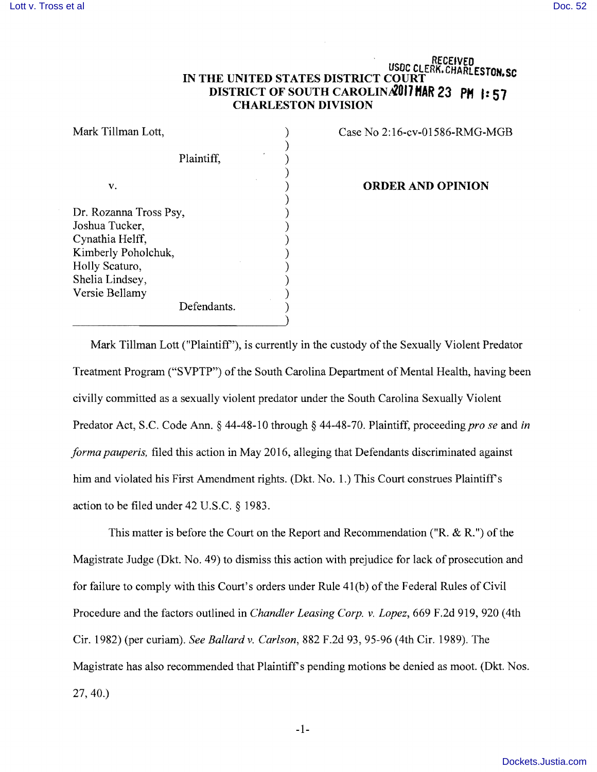## RECEIVED USDC CLERK. CHARLESTON.SC **IN THE UNITED STATES DISTRICT COURT DISTRICT OF SOUTH CAROLINA?OI1 HAR 23 PH I: 51 CHARLESTON DIVISION**

Mark Tillman Lott, Plaintiff, v. Dr. Rozanna Tross Psy, Joshua Tucker, Cynathia Helff, Kimberly Poholchuk, Holly Scaturo, Shelia Lindsey, Versie Bellamy Defendants. ) ) ) ) ) ) ) ) ) ) ) ) ) )

Case No 2: 16-cv-01586-RMG-MGB

## **ORDER AND OPINION**

Mark Tillman Lott ("Plaintiff'), is currently in the custody of the Sexually Violent Predator Treatment Program ("SVPTP") of the South Carolina Department of Mental Health, having been civilly committed as a sexually violent predator under the South Carolina Sexually Violent Predator Act, S.C. Code Ann. § 44-48-10 through § 44-48-70. Plaintiff, proceeding *pro se* and *in forma pauperis,* filed this action in May 2016, alleging that Defendants discriminated against him and violated his First Amendment rights. (Dkt. No. 1.) This Court construes Plaintiff's action to be filed under 42 U.S.c. § 1983.

This matter is before the Court on the Report and Recommendation ("R. & R.") of the Magistrate Judge (Dkt. No. 49) to dismiss this action with prejudice for lack of prosecution and for failure to comply with this Court's orders under Rule 41(b) of the Federal Rules of Civil Procedure and the factors outlined in *Chandler Leasing Corp.* v. *Lopez,* 669 F.2d 919, 920 (4th Cir. 1982) (per curiam). *See Ballardv. Carlson,* 882 F.2d 93, 95-96 (4th Cir. 1989). The Magistrate has also recommended that Plaintiff's pending motions be denied as moot. (Dkt. Nos. 27,40.)